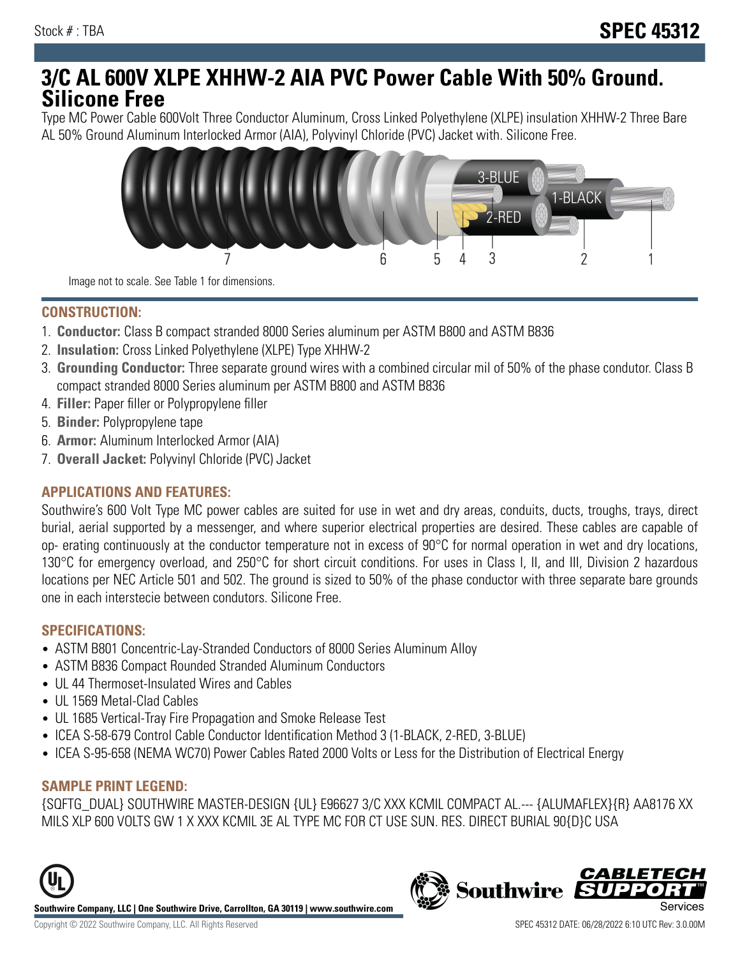# **3/C AL 600V XLPE XHHW-2 AIA PVC Power Cable With 50% Ground. Silicone Free**

Type MC Power Cable 600Volt Three Conductor Aluminum, Cross Linked Polyethylene (XLPE) insulation XHHW-2 Three Bare AL 50% Ground Aluminum Interlocked Armor (AIA), Polyvinyl Chloride (PVC) Jacket with. Silicone Free.



Image not to scale. See Table 1 for dimensions.

#### **CONSTRUCTION:**

- 1. **Conductor:** Class B compact stranded 8000 Series aluminum per ASTM B800 and ASTM B836
- 2. **Insulation:** Cross Linked Polyethylene (XLPE) Type XHHW-2
- 3. **Grounding Conductor:** Three separate ground wires with a combined circular mil of 50% of the phase condutor. Class B compact stranded 8000 Series aluminum per ASTM B800 and ASTM B836
- 4. **Filler:** Paper filler or Polypropylene filler
- 5. **Binder:** Polypropylene tape
- 6. **Armor:** Aluminum Interlocked Armor (AIA)
- 7. **Overall Jacket:** Polyvinyl Chloride (PVC) Jacket

### **APPLICATIONS AND FEATURES:**

Southwire's 600 Volt Type MC power cables are suited for use in wet and dry areas, conduits, ducts, troughs, trays, direct burial, aerial supported by a messenger, and where superior electrical properties are desired. These cables are capable of op- erating continuously at the conductor temperature not in excess of 90°C for normal operation in wet and dry locations, 130°C for emergency overload, and 250°C for short circuit conditions. For uses in Class I, II, and III, Division 2 hazardous locations per NEC Article 501 and 502. The ground is sized to 50% of the phase conductor with three separate bare grounds one in each interstecie between condutors. Silicone Free.

#### **SPECIFICATIONS:**

- ASTM B801 Concentric-Lay-Stranded Conductors of 8000 Series Aluminum Alloy
- ASTM B836 Compact Rounded Stranded Aluminum Conductors
- UL 44 Thermoset-Insulated Wires and Cables
- UL 1569 Metal-Clad Cables
- UL 1685 Vertical-Tray Fire Propagation and Smoke Release Test
- ICEA S-58-679 Control Cable Conductor Identification Method 3 (1-BLACK, 2-RED, 3-BLUE)
- ICEA S-95-658 (NEMA WC70) Power Cables Rated 2000 Volts or Less for the Distribution of Electrical Energy

### **SAMPLE PRINT LEGEND:**

{SQFTG\_DUAL} SOUTHWIRE MASTER-DESIGN {UL} E96627 3/C XXX KCMIL COMPACT AL.--- {ALUMAFLEX}{R} AA8176 XX MILS XLP 600 VOLTS GW 1 X XXX KCMIL 3E AL TYPE MC FOR CT USE SUN. RES. DIRECT BURIAL 90{D}C USA





*CABLETEC*